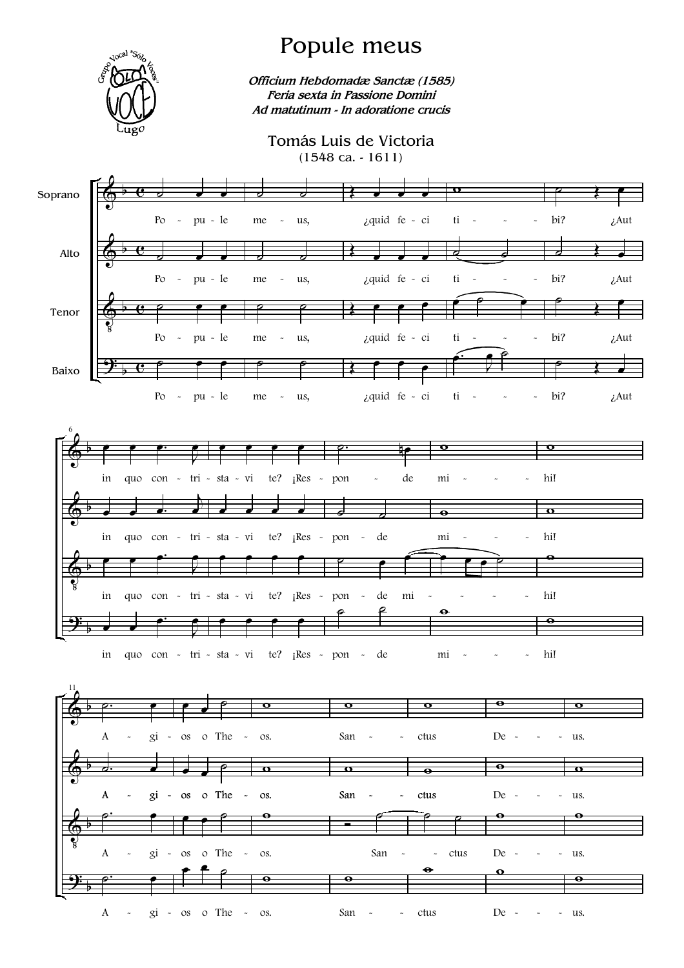

## Popule meus

Officium Hebdomadæ Sanctæ (1585) Feria sexta in Passione Domini Ad matutinum - In adoratione crucis

## Tomás Luis de Victoria  $(1548 \text{ ca.} - 1611)$